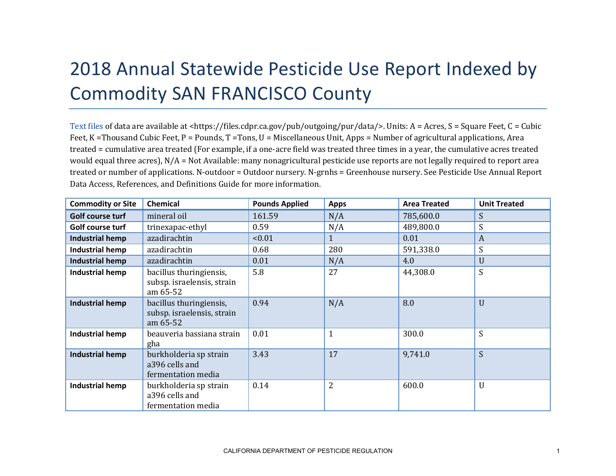## 2018 Annual Statewide Pesticide Use Report Indexed by Commodity SAN FRANCISCO County

[Text files](https://files.cdpr.ca.gov/pub/outgoing/pur/data/) of data are available at <https://files.cdpr.ca.gov/pub/outgoing/pur/data/>. Units: A = Acres, S = Square Feet, C = Cubic Feet, K = Thousand Cubic Feet, P = Pounds, T = Tons, U = Miscellaneous Unit, Apps = Number of agricultural applications, Area treated = cumulative area treated (For example, if a one-acre field was treated three times in a year, the cumulative acres treated would equal three acres),  $N/A = Not$  Available: many nonagricultural pesticide use reports are not legally required to report area treated or number of applications. N-outdoor = Outdoor nursery. N-grnhs = Greenhouse nursery. See Pesticide Use Annual Report Data Access, References, and Definitions Guide for more information.

| <b>Commodity or Site</b> | <b>Chemical</b>                                                   | <b>Pounds Applied</b> | <b>Apps</b>    | <b>Area Treated</b> | <b>Unit Treated</b> |
|--------------------------|-------------------------------------------------------------------|-----------------------|----------------|---------------------|---------------------|
| Golf course turf         | mineral oil                                                       | 161.59                | N/A            | 785,600.0           | S                   |
| Golf course turf         | trinexapac-ethyl                                                  | 0.59                  | N/A            | 489,800.0           | S                   |
| Industrial hemp          | azadirachtin                                                      | < 0.01                | $\mathbf{1}$   | 0.01                | A                   |
| <b>Industrial hemp</b>   | azadirachtin                                                      | 0.68                  | 280            | 591,338.0           | S                   |
| <b>Industrial hemp</b>   | azadirachtin                                                      | 0.01                  | N/A            | 4.0                 | $\mathbf U$         |
| <b>Industrial hemp</b>   | bacillus thuringiensis,<br>subsp. israelensis, strain<br>am 65-52 | 5.8                   | 27             | 44,308.0            | S                   |
| <b>Industrial hemp</b>   | bacillus thuringiensis,<br>subsp. israelensis, strain<br>am 65-52 | 0.94                  | N/A            | 8.0                 | U                   |
| <b>Industrial hemp</b>   | beauveria bassiana strain<br>gha                                  | 0.01                  | $\mathbf{1}$   | 300.0               | S                   |
| <b>Industrial hemp</b>   | burkholderia sp strain<br>a396 cells and<br>fermentation media    | 3.43                  | 17             | 9,741.0             | S                   |
| <b>Industrial hemp</b>   | burkholderia sp strain<br>a396 cells and<br>fermentation media    | 0.14                  | $\overline{2}$ | 600.0               | $\mathbf U$         |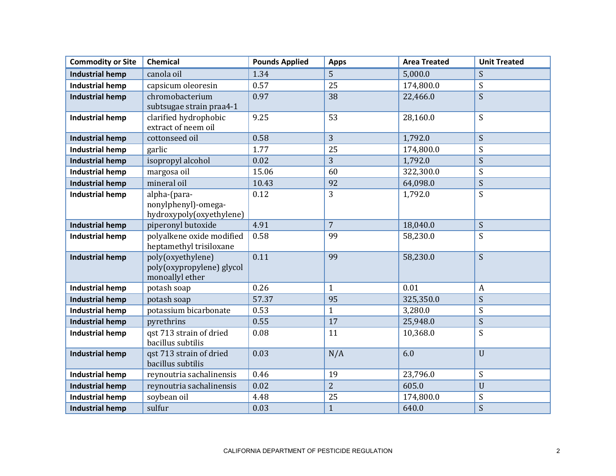| <b>Commodity or Site</b> | <b>Chemical</b>                                                   | <b>Pounds Applied</b> | <b>Apps</b>     | <b>Area Treated</b> | <b>Unit Treated</b>       |
|--------------------------|-------------------------------------------------------------------|-----------------------|-----------------|---------------------|---------------------------|
| <b>Industrial hemp</b>   | canola oil                                                        | 1.34                  | 5               | 5,000.0             | S                         |
| <b>Industrial hemp</b>   | capsicum oleoresin                                                | 0.57                  | $\overline{25}$ | 174,800.0           | $\overline{S}$            |
| <b>Industrial hemp</b>   | chromobacterium                                                   | 0.97                  | 38              | 22,466.0            | $\overline{S}$            |
|                          | subtsugae strain praa4-1                                          |                       |                 |                     |                           |
| <b>Industrial hemp</b>   | clarified hydrophobic                                             | 9.25                  | 53              | 28,160.0            | S                         |
|                          | extract of neem oil                                               |                       |                 |                     |                           |
| <b>Industrial hemp</b>   | cottonseed oil                                                    | 0.58                  | 3               | 1,792.0             | S                         |
| <b>Industrial hemp</b>   | garlic                                                            | 1.77                  | 25              | 174,800.0           | S                         |
| <b>Industrial hemp</b>   | isopropyl alcohol                                                 | 0.02                  | 3               | 1,792.0             | S                         |
| <b>Industrial hemp</b>   | margosa oil                                                       | 15.06                 | 60              | 322,300.0           | $\mathbf S$               |
| <b>Industrial hemp</b>   | mineral oil                                                       | 10.43                 | 92              | 64,098.0            | S                         |
| <b>Industrial hemp</b>   | alpha-(para-                                                      | 0.12                  | 3               | 1,792.0             | S                         |
|                          | nonylphenyl)-omega-                                               |                       |                 |                     |                           |
|                          | hydroxypoly(oxyethylene)                                          |                       |                 |                     |                           |
| <b>Industrial hemp</b>   | piperonyl butoxide                                                | 4.91                  | $\overline{7}$  | 18,040.0            | $\boldsymbol{S}$          |
| <b>Industrial hemp</b>   | polyalkene oxide modified<br>heptamethyl trisiloxane              | 0.58                  | 99              | 58,230.0            | S                         |
| <b>Industrial hemp</b>   | poly(oxyethylene)<br>poly(oxypropylene) glycol<br>monoallyl ether | 0.11                  | 99              | 58,230.0            | $\mathsf{S}$              |
| <b>Industrial hemp</b>   | potash soap                                                       | 0.26                  | $\mathbf{1}$    | 0.01                | A                         |
| <b>Industrial hemp</b>   | potash soap                                                       | 57.37                 | $\overline{95}$ | 325,350.0           | S                         |
| <b>Industrial hemp</b>   | potassium bicarbonate                                             | 0.53                  | $\mathbf{1}$    | 3,280.0             | S                         |
| <b>Industrial hemp</b>   | pyrethrins                                                        | 0.55                  | 17              | 25,948.0            | S                         |
| <b>Industrial hemp</b>   | qst 713 strain of dried<br>bacillus subtilis                      | 0.08                  | 11              | 10,368.0            | S                         |
| <b>Industrial hemp</b>   | qst 713 strain of dried<br>bacillus subtilis                      | 0.03                  | N/A             | 6.0                 | $\mathbf U$               |
| <b>Industrial hemp</b>   | reynoutria sachalinensis                                          | 0.46                  | 19              | 23,796.0            | S                         |
| <b>Industrial hemp</b>   | reynoutria sachalinensis                                          | 0.02                  | $\overline{2}$  | 605.0               | $\mathbf U$               |
| <b>Industrial hemp</b>   | soybean oil                                                       | 4.48                  | 25              | 174,800.0           | $\boldsymbol{\mathsf{S}}$ |
| <b>Industrial hemp</b>   | sulfur                                                            | 0.03                  | $\mathbf{1}$    | 640.0               | $\overline{S}$            |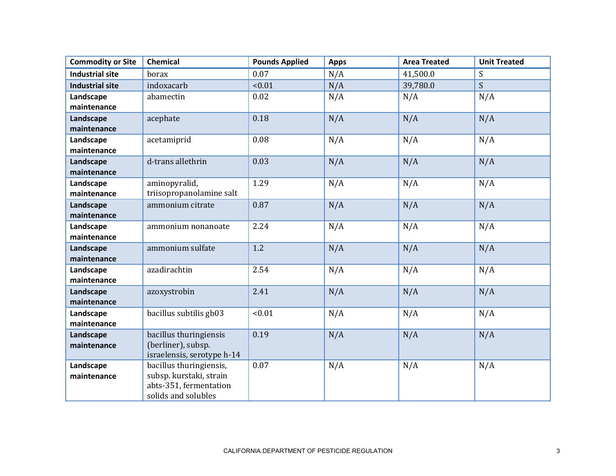| <b>Commodity or Site</b> | <b>Chemical</b>                                    | <b>Pounds Applied</b> | <b>Apps</b> | <b>Area Treated</b> | <b>Unit Treated</b> |
|--------------------------|----------------------------------------------------|-----------------------|-------------|---------------------|---------------------|
| <b>Industrial site</b>   | borax                                              | $0.07\,$              | N/A         | 41,500.0            | S                   |
| <b>Industrial site</b>   | indoxacarb                                         | < 0.01                | N/A         | 39,780.0            | S.                  |
| Landscape                | abamectin                                          | 0.02                  | N/A         | N/A                 | N/A                 |
| maintenance              |                                                    |                       |             |                     |                     |
| Landscape                | acephate                                           | 0.18                  | N/A         | N/A                 | N/A                 |
| maintenance              |                                                    |                       |             |                     |                     |
| Landscape                | acetamiprid                                        | 0.08                  | N/A         | N/A                 | N/A                 |
| maintenance              |                                                    |                       |             |                     |                     |
| Landscape                | d-trans allethrin                                  | 0.03                  | N/A         | N/A                 | N/A                 |
| maintenance              |                                                    |                       |             |                     |                     |
| Landscape                | aminopyralid,                                      | 1.29                  | N/A         | N/A                 | N/A                 |
| maintenance              | triisopropanolamine salt                           |                       |             |                     |                     |
| Landscape                | ammonium citrate                                   | 0.87                  | N/A         | N/A                 | N/A                 |
| maintenance              |                                                    |                       |             |                     |                     |
| Landscape                | ammonium nonanoate                                 | 2.24                  | N/A         | N/A                 | N/A                 |
| maintenance              |                                                    |                       |             |                     |                     |
| Landscape                | ammonium sulfate                                   | 1.2                   | N/A         | N/A                 | N/A                 |
| maintenance              |                                                    |                       |             |                     |                     |
| Landscape                | azadirachtin                                       | 2.54                  | N/A         | N/A                 | N/A                 |
| maintenance              |                                                    |                       |             |                     |                     |
| Landscape                | azoxystrobin                                       | 2.41                  | N/A         | N/A                 | N/A                 |
| maintenance              |                                                    |                       |             |                     |                     |
| Landscape                | bacillus subtilis gb03                             | < 0.01                | N/A         | N/A                 | N/A                 |
| maintenance              |                                                    |                       |             |                     |                     |
| Landscape                | bacillus thuringiensis                             | 0.19                  | N/A         | N/A                 | N/A                 |
| maintenance              | (berliner), subsp.                                 |                       |             |                     |                     |
|                          | israelensis, serotype h-14                         | 0.07                  |             |                     |                     |
| Landscape<br>maintenance | bacillus thuringiensis,<br>subsp. kurstaki, strain |                       | N/A         | N/A                 | N/A                 |
|                          | abts-351, fermentation                             |                       |             |                     |                     |
|                          | solids and solubles                                |                       |             |                     |                     |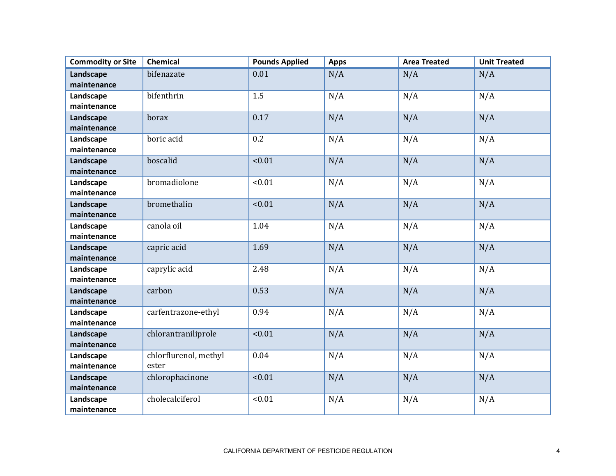| <b>Commodity or Site</b> | <b>Chemical</b>       | <b>Pounds Applied</b> | <b>Apps</b> | <b>Area Treated</b> | <b>Unit Treated</b> |
|--------------------------|-----------------------|-----------------------|-------------|---------------------|---------------------|
| Landscape                | bifenazate            | 0.01                  | N/A         | N/A                 | N/A                 |
| maintenance              |                       |                       |             |                     |                     |
| Landscape<br>maintenance | bifenthrin            | 1.5                   | N/A         | N/A                 | N/A                 |
| Landscape                | borax                 | 0.17                  | N/A         | N/A                 | N/A                 |
| maintenance              |                       |                       |             |                     |                     |
| Landscape                | boric acid            | 0.2                   | N/A         | N/A                 | N/A                 |
| maintenance              |                       |                       |             |                     |                     |
| Landscape                | boscalid              | < 0.01                | N/A         | N/A                 | N/A                 |
| maintenance              |                       |                       |             |                     |                     |
| Landscape                | bromadiolone          | < 0.01                | N/A         | N/A                 | N/A                 |
| maintenance              |                       |                       |             |                     |                     |
| Landscape                | bromethalin           | < 0.01                | N/A         | N/A                 | N/A                 |
| maintenance              |                       |                       |             |                     |                     |
| Landscape                | canola oil            | 1.04                  | N/A         | N/A                 | N/A                 |
| maintenance              |                       |                       |             |                     |                     |
| Landscape<br>maintenance | capric acid           | 1.69                  | N/A         | N/A                 | N/A                 |
| Landscape                | caprylic acid         | 2.48                  | N/A         | N/A                 | N/A                 |
| maintenance              |                       |                       |             |                     |                     |
| Landscape                | carbon                | 0.53                  | N/A         | N/A                 | N/A                 |
| maintenance              |                       |                       |             |                     |                     |
| Landscape                | carfentrazone-ethyl   | 0.94                  | N/A         | N/A                 | N/A                 |
| maintenance              |                       |                       |             |                     |                     |
| Landscape                | chlorantraniliprole   | < 0.01                | N/A         | N/A                 | N/A                 |
| maintenance              |                       |                       |             |                     |                     |
| Landscape                | chlorflurenol, methyl | 0.04                  | N/A         | N/A                 | N/A                 |
| maintenance              | ester                 |                       |             |                     |                     |
| Landscape<br>maintenance | chlorophacinone       | < 0.01                | N/A         | N/A                 | N/A                 |
|                          | cholecalciferol       | < 0.01                |             |                     | N/A                 |
| Landscape<br>maintenance |                       |                       | N/A         | N/A                 |                     |
|                          |                       |                       |             |                     |                     |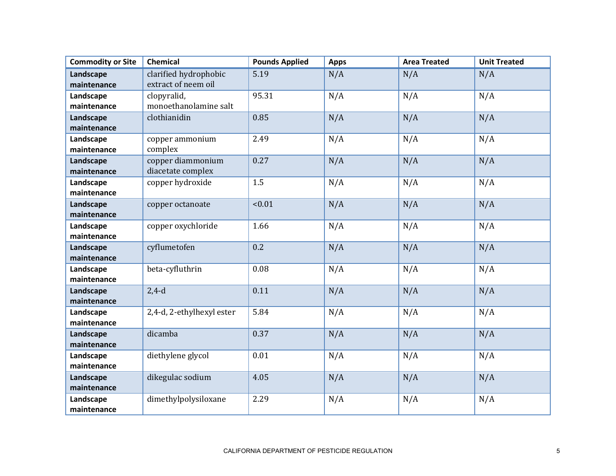| <b>Commodity or Site</b> | Chemical                  | <b>Pounds Applied</b> | <b>Apps</b> | <b>Area Treated</b> | <b>Unit Treated</b> |
|--------------------------|---------------------------|-----------------------|-------------|---------------------|---------------------|
| Landscape                | clarified hydrophobic     | 5.19                  | N/A         | N/A                 | N/A                 |
| maintenance              | extract of neem oil       |                       |             |                     |                     |
| Landscape                | clopyralid,               | 95.31                 | N/A         | N/A                 | N/A                 |
| maintenance              | monoethanolamine salt     |                       |             |                     |                     |
| Landscape                | clothianidin              | 0.85                  | N/A         | N/A                 | N/A                 |
| maintenance              |                           |                       |             |                     |                     |
| Landscape                | copper ammonium           | 2.49                  | N/A         | N/A                 | N/A                 |
| maintenance              | complex                   |                       |             |                     |                     |
| Landscape                | copper diammonium         | 0.27                  | N/A         | N/A                 | N/A                 |
| maintenance              | diacetate complex         |                       |             |                     |                     |
| Landscape                | copper hydroxide          | 1.5                   | N/A         | N/A                 | N/A                 |
| maintenance              |                           |                       |             |                     |                     |
| Landscape                | copper octanoate          | < 0.01                | N/A         | N/A                 | N/A                 |
| maintenance              |                           |                       |             |                     |                     |
| Landscape                | copper oxychloride        | 1.66                  | N/A         | N/A                 | N/A                 |
| maintenance              |                           |                       |             |                     |                     |
| Landscape                | cyflumetofen              | 0.2                   | N/A         | N/A                 | N/A                 |
| maintenance              |                           |                       |             |                     |                     |
| Landscape                | beta-cyfluthrin           | 0.08                  | N/A         | N/A                 | N/A                 |
| maintenance              |                           |                       |             |                     |                     |
| Landscape                | $2,4-d$                   | 0.11                  | N/A         | N/A                 | N/A                 |
| maintenance              |                           |                       |             |                     |                     |
| Landscape                | 2,4-d, 2-ethylhexyl ester | 5.84                  | N/A         | N/A                 | N/A                 |
| maintenance              |                           |                       |             |                     |                     |
| Landscape                | dicamba                   | 0.37                  | N/A         | N/A                 | N/A                 |
| maintenance              |                           |                       |             |                     |                     |
| Landscape                | diethylene glycol         | 0.01                  | N/A         | N/A                 | N/A                 |
| maintenance              |                           |                       |             |                     |                     |
| Landscape                | dikegulac sodium          | 4.05                  | N/A         | N/A                 | N/A                 |
| maintenance              |                           |                       |             |                     |                     |
| Landscape                | dimethylpolysiloxane      | 2.29                  | N/A         | N/A                 | N/A                 |
| maintenance              |                           |                       |             |                     |                     |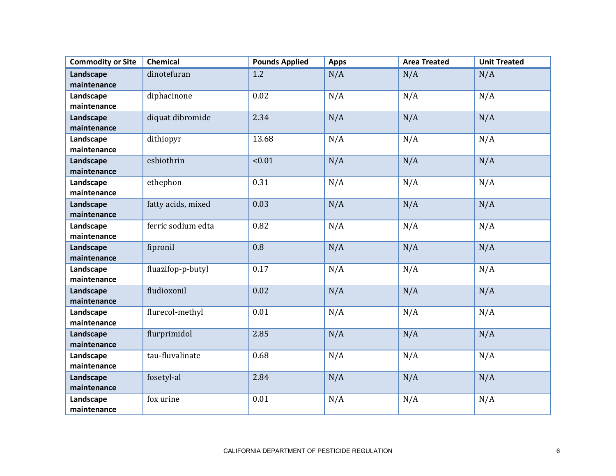| <b>Commodity or Site</b> | <b>Chemical</b>    | <b>Pounds Applied</b> | <b>Apps</b> | <b>Area Treated</b> | <b>Unit Treated</b> |
|--------------------------|--------------------|-----------------------|-------------|---------------------|---------------------|
| Landscape                | dinotefuran        | 1.2                   | N/A         | N/A                 | N/A                 |
| maintenance              |                    |                       |             |                     |                     |
| Landscape                | diphacinone        | 0.02                  | N/A         | N/A                 | N/A                 |
| maintenance              |                    |                       |             |                     |                     |
| Landscape                | diquat dibromide   | 2.34                  | N/A         | N/A                 | N/A                 |
| maintenance              |                    |                       |             |                     |                     |
| Landscape                | dithiopyr          | 13.68                 | N/A         | N/A                 | N/A                 |
| maintenance              |                    |                       |             |                     |                     |
| Landscape                | esbiothrin         | < 0.01                | N/A         | N/A                 | N/A                 |
| maintenance              |                    |                       |             |                     |                     |
| Landscape                | ethephon           | 0.31                  | N/A         | N/A                 | N/A                 |
| maintenance              |                    |                       |             |                     |                     |
| Landscape                | fatty acids, mixed | 0.03                  | N/A         | N/A                 | N/A                 |
| maintenance              |                    |                       |             |                     |                     |
| Landscape                | ferric sodium edta | 0.82                  | N/A         | N/A                 | N/A                 |
| maintenance              |                    |                       |             |                     |                     |
| Landscape                | fipronil           | 0.8                   | N/A         | N/A                 | N/A                 |
| maintenance              |                    |                       |             |                     |                     |
| Landscape                | fluazifop-p-butyl  | 0.17                  | N/A         | N/A                 | N/A                 |
| maintenance              |                    |                       |             |                     |                     |
| Landscape                | fludioxonil        | 0.02                  | N/A         | N/A                 | N/A                 |
| maintenance              |                    |                       |             |                     |                     |
| Landscape                | flurecol-methyl    | 0.01                  | N/A         | N/A                 | N/A                 |
| maintenance              |                    |                       |             |                     |                     |
| Landscape                | flurprimidol       | 2.85                  | N/A         | N/A                 | N/A                 |
| maintenance              |                    |                       |             |                     |                     |
| Landscape                | tau-fluvalinate    | 0.68                  | N/A         | N/A                 | N/A                 |
| maintenance              |                    |                       |             |                     |                     |
| Landscape                | fosetyl-al         | 2.84                  | N/A         | N/A                 | N/A                 |
| maintenance              |                    |                       |             |                     |                     |
| Landscape                | fox urine          | 0.01                  | N/A         | N/A                 | N/A                 |
| maintenance              |                    |                       |             |                     |                     |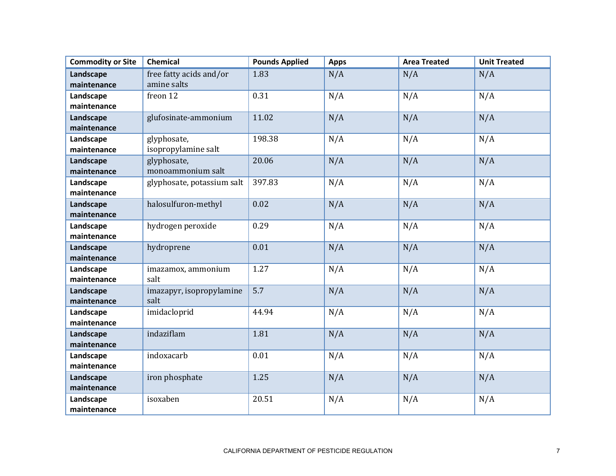| <b>Commodity or Site</b> | <b>Chemical</b>            | <b>Pounds Applied</b> | <b>Apps</b> | <b>Area Treated</b> | <b>Unit Treated</b> |
|--------------------------|----------------------------|-----------------------|-------------|---------------------|---------------------|
| Landscape                | free fatty acids and/or    | 1.83                  | N/A         | N/A                 | N/A                 |
| maintenance              | amine salts                |                       |             |                     |                     |
| Landscape                | freon 12                   | 0.31                  | N/A         | N/A                 | N/A                 |
| maintenance              |                            |                       |             |                     |                     |
| Landscape                | glufosinate-ammonium       | 11.02                 | N/A         | N/A                 | N/A                 |
| maintenance              |                            |                       |             |                     |                     |
| Landscape                | glyphosate,                | 198.38                | N/A         | N/A                 | N/A                 |
| maintenance              | isopropylamine salt        |                       |             |                     |                     |
| Landscape                | glyphosate,                | 20.06                 | N/A         | N/A                 | N/A                 |
| maintenance              | monoammonium salt          |                       |             |                     |                     |
| Landscape                | glyphosate, potassium salt | 397.83                | N/A         | N/A                 | N/A                 |
| maintenance              |                            |                       |             |                     |                     |
| Landscape                | halosulfuron-methyl        | 0.02                  | N/A         | N/A                 | N/A                 |
| maintenance              |                            |                       |             |                     |                     |
| Landscape                | hydrogen peroxide          | 0.29                  | N/A         | N/A                 | N/A                 |
| maintenance              |                            |                       |             |                     |                     |
| Landscape                | hydroprene                 | 0.01                  | N/A         | N/A                 | N/A                 |
| maintenance              |                            |                       |             |                     |                     |
| Landscape                | imazamox, ammonium         | 1.27                  | N/A         | N/A                 | N/A                 |
| maintenance              | salt                       |                       |             |                     |                     |
| Landscape                | imazapyr, isopropylamine   | 5.7                   | N/A         | N/A                 | N/A                 |
| maintenance              | salt                       |                       |             |                     |                     |
| Landscape                | imidacloprid               | 44.94                 | N/A         | N/A                 | N/A                 |
| maintenance              |                            |                       |             |                     |                     |
| Landscape                | indaziflam                 | 1.81                  | N/A         | N/A                 | N/A                 |
| maintenance              |                            |                       |             |                     |                     |
| Landscape                | indoxacarb                 | 0.01                  | N/A         | N/A                 | N/A                 |
| maintenance              |                            |                       |             |                     |                     |
| Landscape                | iron phosphate             | 1.25                  | N/A         | N/A                 | N/A                 |
| maintenance              |                            |                       |             |                     |                     |
| Landscape                | isoxaben                   | 20.51                 | N/A         | N/A                 | N/A                 |
| maintenance              |                            |                       |             |                     |                     |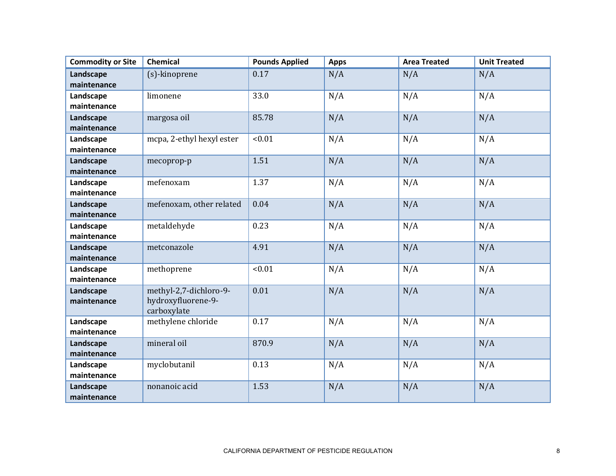| <b>Commodity or Site</b> | <b>Chemical</b>           | <b>Pounds Applied</b> | <b>Apps</b> | <b>Area Treated</b> | <b>Unit Treated</b> |
|--------------------------|---------------------------|-----------------------|-------------|---------------------|---------------------|
| Landscape                | (s)-kinoprene             | 0.17                  | N/A         | N/A                 | N/A                 |
| maintenance              |                           |                       |             |                     |                     |
| Landscape                | limonene                  | 33.0                  | N/A         | N/A                 | N/A                 |
| maintenance              |                           |                       |             |                     |                     |
| Landscape                | margosa oil               | 85.78                 | N/A         | N/A                 | N/A                 |
| maintenance              |                           |                       |             |                     |                     |
| Landscape                | mcpa, 2-ethyl hexyl ester | < 0.01                | N/A         | N/A                 | N/A                 |
| maintenance              |                           |                       |             |                     |                     |
| Landscape                | mecoprop-p                | 1.51                  | N/A         | N/A                 | N/A                 |
| maintenance              |                           |                       |             |                     |                     |
| Landscape                | mefenoxam                 | 1.37                  | N/A         | N/A                 | N/A                 |
| maintenance              |                           |                       |             |                     |                     |
| Landscape                | mefenoxam, other related  | 0.04                  | N/A         | N/A                 | N/A                 |
| maintenance              |                           |                       |             |                     |                     |
| Landscape                | metaldehyde               | 0.23                  | N/A         | N/A                 | N/A                 |
| maintenance              |                           |                       |             |                     |                     |
| Landscape                | metconazole               | 4.91                  | N/A         | N/A                 | N/A                 |
| maintenance              |                           |                       |             |                     |                     |
| Landscape                | methoprene                | < 0.01                | N/A         | N/A                 | N/A                 |
| maintenance              |                           |                       |             |                     |                     |
| Landscape                | methyl-2,7-dichloro-9-    | 0.01                  | N/A         | N/A                 | N/A                 |
| maintenance              | hydroxyfluorene-9-        |                       |             |                     |                     |
|                          | carboxylate               |                       |             |                     |                     |
| Landscape                | methylene chloride        | 0.17                  | N/A         | N/A                 | N/A                 |
| maintenance              |                           |                       |             |                     |                     |
| Landscape                | mineral oil               | 870.9                 | N/A         | N/A                 | N/A                 |
| maintenance              |                           |                       |             |                     |                     |
| Landscape                | myclobutanil              | 0.13                  | N/A         | N/A                 | N/A                 |
| maintenance              |                           |                       |             |                     |                     |
| Landscape                | nonanoic acid             | 1.53                  | N/A         | N/A                 | N/A                 |
| maintenance              |                           |                       |             |                     |                     |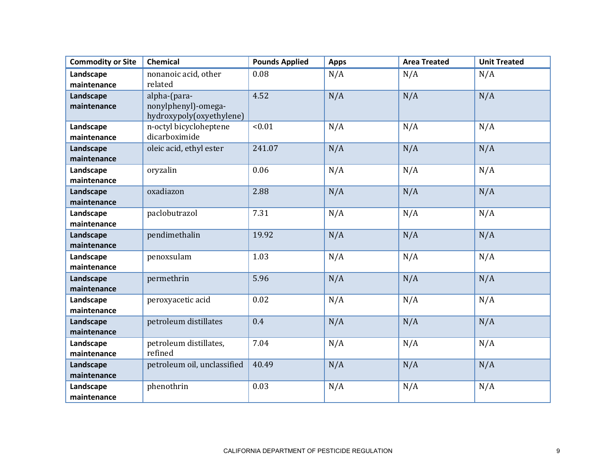| <b>Commodity or Site</b> | <b>Chemical</b>             | <b>Pounds Applied</b> | <b>Apps</b> | <b>Area Treated</b> | <b>Unit Treated</b> |
|--------------------------|-----------------------------|-----------------------|-------------|---------------------|---------------------|
| Landscape                | nonanoic acid, other        | 0.08                  | N/A         | N/A                 | N/A                 |
| maintenance              | related                     |                       |             |                     |                     |
| Landscape                | alpha-(para-                | 4.52                  | N/A         | N/A                 | N/A                 |
| maintenance              | nonylphenyl)-omega-         |                       |             |                     |                     |
|                          | hydroxypoly(oxyethylene)    |                       |             |                     |                     |
| Landscape                | n-octyl bicycloheptene      | < 0.01                | N/A         | N/A                 | N/A                 |
| maintenance              | dicarboximide               |                       |             |                     |                     |
| Landscape                | oleic acid, ethyl ester     | 241.07                | N/A         | N/A                 | N/A                 |
| maintenance              |                             |                       |             |                     |                     |
| Landscape                | oryzalin                    | 0.06                  | N/A         | N/A                 | N/A                 |
| maintenance              |                             |                       |             |                     |                     |
| Landscape                | oxadiazon                   | 2.88                  | N/A         | N/A                 | N/A                 |
| maintenance              |                             |                       |             |                     |                     |
| Landscape                | paclobutrazol               | 7.31                  | N/A         | N/A                 | N/A                 |
| maintenance              |                             |                       |             |                     |                     |
| Landscape                | pendimethalin               | 19.92                 | N/A         | N/A                 | N/A                 |
| maintenance              |                             |                       |             |                     |                     |
| Landscape                | penoxsulam                  | 1.03                  | N/A         | N/A                 | N/A                 |
| maintenance              |                             |                       |             |                     |                     |
| Landscape                | permethrin                  | 5.96                  | N/A         | N/A                 | N/A                 |
| maintenance              |                             |                       |             |                     |                     |
| Landscape                | peroxyacetic acid           | 0.02                  | N/A         | N/A                 | N/A                 |
| maintenance              |                             |                       |             |                     |                     |
| Landscape                | petroleum distillates       | 0.4                   | N/A         | N/A                 | N/A                 |
| maintenance              |                             |                       |             |                     |                     |
| Landscape                | petroleum distillates,      | 7.04                  | N/A         | N/A                 | N/A                 |
| maintenance              | refined                     |                       |             |                     |                     |
| Landscape                | petroleum oil, unclassified | 40.49                 | N/A         | N/A                 | N/A                 |
| maintenance              |                             |                       |             |                     |                     |
| Landscape                | phenothrin                  | 0.03                  | N/A         | N/A                 | N/A                 |
| maintenance              |                             |                       |             |                     |                     |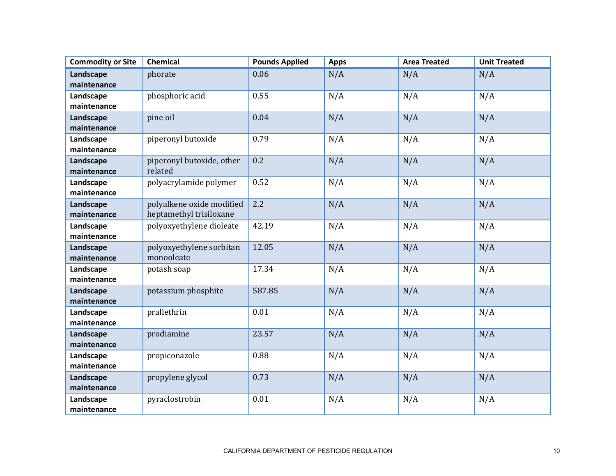| <b>Commodity or Site</b> | <b>Chemical</b>                                      | <b>Pounds Applied</b> | <b>Apps</b> | <b>Area Treated</b> | <b>Unit Treated</b> |
|--------------------------|------------------------------------------------------|-----------------------|-------------|---------------------|---------------------|
| Landscape<br>maintenance | phorate                                              | 0.06                  | N/A         | N/A                 | N/A                 |
| Landscape<br>maintenance | phosphoric acid                                      | 0.55                  | N/A         | N/A                 | N/A                 |
| Landscape<br>maintenance | pine oil                                             | 0.04                  | N/A         | N/A                 | N/A                 |
| Landscape<br>maintenance | piperonyl butoxide                                   | 0.79                  | N/A         | N/A                 | N/A                 |
| Landscape<br>maintenance | piperonyl butoxide, other<br>related                 | 0.2                   | N/A         | N/A                 | N/A                 |
| Landscape<br>maintenance | polyacrylamide polymer                               | 0.52                  | N/A         | N/A                 | N/A                 |
| Landscape<br>maintenance | polyalkene oxide modified<br>heptamethyl trisiloxane | 2.2                   | N/A         | N/A                 | N/A                 |
| Landscape<br>maintenance | polyoxyethylene dioleate                             | 42.19                 | N/A         | N/A                 | N/A                 |
| Landscape<br>maintenance | polyoxyethylene sorbitan<br>monooleate               | 12.05                 | N/A         | N/A                 | N/A                 |
| Landscape<br>maintenance | potash soap                                          | 17.34                 | N/A         | N/A                 | N/A                 |
| Landscape<br>maintenance | potassium phosphite                                  | 587.85                | N/A         | N/A                 | N/A                 |
| Landscape<br>maintenance | prallethrin                                          | 0.01                  | N/A         | N/A                 | N/A                 |
| Landscape<br>maintenance | prodiamine                                           | 23.57                 | N/A         | N/A                 | N/A                 |
| Landscape<br>maintenance | propiconazole                                        | 0.88                  | N/A         | N/A                 | N/A                 |
| Landscape<br>maintenance | propylene glycol                                     | 0.73                  | N/A         | N/A                 | N/A                 |
| Landscape<br>maintenance | pyraclostrobin                                       | 0.01                  | N/A         | N/A                 | N/A                 |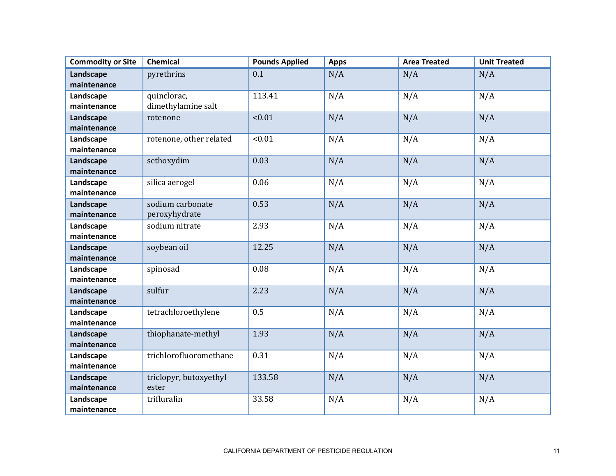| <b>Commodity or Site</b> | <b>Chemical</b>         | <b>Pounds Applied</b> | <b>Apps</b> | <b>Area Treated</b> | <b>Unit Treated</b> |
|--------------------------|-------------------------|-----------------------|-------------|---------------------|---------------------|
| Landscape                | pyrethrins              | 0.1                   | N/A         | N/A                 | N/A                 |
| maintenance              |                         |                       |             |                     |                     |
| Landscape                | quinclorac,             | 113.41                | N/A         | N/A                 | N/A                 |
| maintenance              | dimethylamine salt      |                       |             |                     |                     |
| Landscape                | rotenone                | 10.01                 | N/A         | N/A                 | N/A                 |
| maintenance              |                         |                       |             |                     |                     |
| Landscape                | rotenone, other related | < 0.01                | N/A         | N/A                 | N/A                 |
| maintenance              |                         |                       |             |                     |                     |
| Landscape                | sethoxydim              | 0.03                  | N/A         | N/A                 | N/A                 |
| maintenance              |                         |                       |             |                     |                     |
| Landscape                | silica aerogel          | 0.06                  | N/A         | N/A                 | N/A                 |
| maintenance              |                         |                       |             |                     |                     |
| Landscape                | sodium carbonate        | 0.53                  | N/A         | N/A                 | N/A                 |
| maintenance              | peroxyhydrate           |                       |             |                     |                     |
| Landscape                | sodium nitrate          | 2.93                  | N/A         | N/A                 | N/A                 |
| maintenance              |                         |                       |             |                     |                     |
| Landscape                | soybean oil             | 12.25                 | N/A         | N/A                 | N/A                 |
| maintenance              |                         |                       |             |                     |                     |
| Landscape                | spinosad                | 0.08                  | N/A         | N/A                 | N/A                 |
| maintenance              |                         |                       |             |                     |                     |
| Landscape                | sulfur                  | 2.23                  | N/A         | N/A                 | N/A                 |
| maintenance              |                         |                       |             |                     |                     |
| Landscape                | tetrachloroethylene     | 0.5                   | N/A         | N/A                 | N/A                 |
| maintenance              |                         | 1.93                  |             |                     |                     |
| Landscape<br>maintenance | thiophanate-methyl      |                       | N/A         | N/A                 | N/A                 |
|                          | trichlorofluoromethane  | 0.31                  |             |                     |                     |
| Landscape<br>maintenance |                         |                       | N/A         | N/A                 | N/A                 |
| Landscape                | triclopyr, butoxyethyl  | 133.58                | N/A         | N/A                 | N/A                 |
| maintenance              | ester                   |                       |             |                     |                     |
| Landscape                | trifluralin             | 33.58                 | N/A         | N/A                 | N/A                 |
| maintenance              |                         |                       |             |                     |                     |
|                          |                         |                       |             |                     |                     |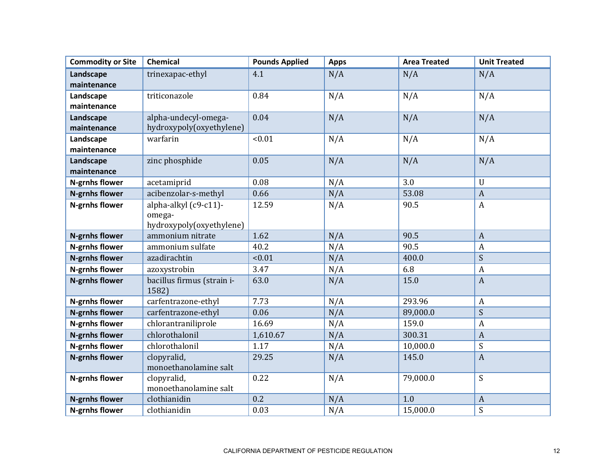| <b>Commodity or Site</b> | <b>Chemical</b>            | <b>Pounds Applied</b> | <b>Apps</b> | <b>Area Treated</b> | <b>Unit Treated</b> |
|--------------------------|----------------------------|-----------------------|-------------|---------------------|---------------------|
| Landscape                | trinexapac-ethyl           | 4.1                   | N/A         | N/A                 | N/A                 |
| maintenance              |                            |                       |             |                     |                     |
| Landscape                | triticonazole              | 0.84                  | N/A         | N/A                 | N/A                 |
| maintenance              |                            |                       |             |                     |                     |
| Landscape                | alpha-undecyl-omega-       | 0.04                  | N/A         | N/A                 | N/A                 |
| maintenance              | hydroxypoly(oxyethylene)   |                       |             |                     |                     |
| Landscape                | warfarin                   | < 0.01                | N/A         | N/A                 | N/A                 |
| maintenance              |                            |                       |             |                     |                     |
| Landscape                | zinc phosphide             | 0.05                  | N/A         | N/A                 | N/A                 |
| maintenance              |                            |                       |             |                     |                     |
| N-grnhs flower           | acetamiprid                | 0.08                  | N/A         | 3.0                 | $\mathbf U$         |
| <b>N-grnhs flower</b>    | acibenzolar-s-methyl       | 0.66                  | N/A         | 53.08               | $\boldsymbol{A}$    |
| N-grnhs flower           | alpha-alkyl (c9-c11)-      | 12.59                 | N/A         | 90.5                | $\boldsymbol{A}$    |
|                          | omega-                     |                       |             |                     |                     |
|                          | hydroxypoly(oxyethylene)   |                       |             |                     |                     |
| <b>N-grnhs flower</b>    | ammonium nitrate           | 1.62                  | N/A         | 90.5                | $\mathbf{A}$        |
| N-grnhs flower           | ammonium sulfate           | 40.2                  | N/A         | 90.5                | $\boldsymbol{A}$    |
| <b>N-grnhs flower</b>    | azadirachtin               | < 0.01                | N/A         | 400.0               | S                   |
| N-grnhs flower           | azoxystrobin               | 3.47                  | N/A         | 6.8                 | $\boldsymbol{A}$    |
| <b>N-grnhs flower</b>    | bacillus firmus (strain i- | 63.0                  | N/A         | 15.0                | $\boldsymbol{A}$    |
|                          | 1582)                      | 7.73                  |             | 293.96              |                     |
| N-grnhs flower           | carfentrazone-ethyl        |                       | N/A         |                     | $\boldsymbol{A}$    |
| <b>N-grnhs flower</b>    | carfentrazone-ethyl        | 0.06                  | N/A         | 89,000.0            | S                   |
| N-grnhs flower           | chlorantraniliprole        | 16.69                 | N/A         | 159.0               | $\boldsymbol{A}$    |
| <b>N-grnhs flower</b>    | chlorothalonil             | 1,610.67              | N/A         | 300.31              | $\mathbf{A}$        |
| <b>N-grnhs flower</b>    | chlorothalonil             | 1.17                  | N/A         | 10,000.0            | S                   |
| <b>N-grnhs flower</b>    | clopyralid,                | 29.25                 | N/A         | 145.0               | $\boldsymbol{A}$    |
|                          | monoethanolamine salt      |                       |             |                     |                     |
| <b>N-grnhs flower</b>    | clopyralid,                | 0.22                  | N/A         | 79,000.0            | S                   |
|                          | monoethanolamine salt      |                       |             |                     |                     |
| <b>N-grnhs flower</b>    | clothianidin               | 0.2                   | N/A         | 1.0                 | $\mathbf{A}$        |
| N-grnhs flower           | clothianidin               | 0.03                  | N/A         | 15,000.0            | S                   |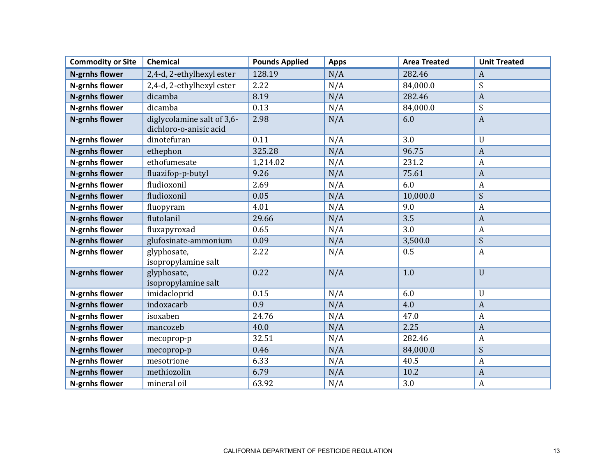| <b>Commodity or Site</b> | Chemical                                             | <b>Pounds Applied</b> | <b>Apps</b> | <b>Area Treated</b> | <b>Unit Treated</b> |
|--------------------------|------------------------------------------------------|-----------------------|-------------|---------------------|---------------------|
| N-grnhs flower           | 2,4-d, 2-ethylhexyl ester                            | 128.19                | N/A         | 282.46              | $\boldsymbol{A}$    |
| N-grnhs flower           | 2,4-d, 2-ethylhexyl ester                            | 2.22                  | N/A         | 84,000.0            | ${\mathsf S}$       |
| N-grnhs flower           | dicamba                                              | 8.19                  | N/A         | 282.46              | $\boldsymbol{A}$    |
| N-grnhs flower           | dicamba                                              | 0.13                  | N/A         | 84,000.0            | S                   |
| <b>N-grnhs flower</b>    | diglycolamine salt of 3,6-<br>dichloro-o-anisic acid | 2.98                  | N/A         | 6.0                 | $\mathbf{A}$        |
| N-grnhs flower           | dinotefuran                                          | 0.11                  | N/A         | 3.0                 | $\mathbf U$         |
| N-grnhs flower           | ethephon                                             | 325.28                | N/A         | 96.75               | $\boldsymbol{A}$    |
| <b>N-grnhs flower</b>    | ethofumesate                                         | 1,214.02              | N/A         | 231.2               | A                   |
| N-grnhs flower           | fluazifop-p-butyl                                    | 9.26                  | N/A         | 75.61               | $\boldsymbol{A}$    |
| N-grnhs flower           | fludioxonil                                          | 2.69                  | N/A         | 6.0                 | $\boldsymbol{A}$    |
| N-grnhs flower           | fludioxonil                                          | 0.05                  | N/A         | 10,000.0            | ${\mathsf S}$       |
| N-grnhs flower           | fluopyram                                            | 4.01                  | N/A         | 9.0                 | $\boldsymbol{A}$    |
| <b>N-grnhs flower</b>    | flutolanil                                           | 29.66                 | N/A         | 3.5                 | $\overline{A}$      |
| N-grnhs flower           | fluxapyroxad                                         | 0.65                  | N/A         | 3.0                 | $\boldsymbol{A}$    |
| N-grnhs flower           | glufosinate-ammonium                                 | 0.09                  | N/A         | 3,500.0             | S                   |
| N-grnhs flower           | glyphosate,<br>isopropylamine salt                   | 2.22                  | N/A         | 0.5                 | $\boldsymbol{A}$    |
| <b>N-grnhs flower</b>    | glyphosate,<br>isopropylamine salt                   | 0.22                  | N/A         | 1.0                 | U                   |
| N-grnhs flower           | imidacloprid                                         | 0.15                  | N/A         | 6.0                 | $\mathbf U$         |
| N-grnhs flower           | indoxacarb                                           | 0.9                   | N/A         | 4.0                 | $\overline{A}$      |
| N-grnhs flower           | isoxaben                                             | 24.76                 | N/A         | 47.0                | $\boldsymbol{A}$    |
| N-grnhs flower           | mancozeb                                             | 40.0                  | N/A         | 2.25                | $\overline{A}$      |
| N-grnhs flower           | mecoprop-p                                           | 32.51                 | N/A         | 282.46              | $\boldsymbol{A}$    |
| N-grnhs flower           | mecoprop-p                                           | 0.46                  | N/A         | 84,000.0            | $\boldsymbol{S}$    |
| N-grnhs flower           | mesotrione                                           | 6.33                  | N/A         | 40.5                | $\boldsymbol{A}$    |
| <b>N-grnhs flower</b>    | methiozolin                                          | 6.79                  | N/A         | 10.2                | $\overline{A}$      |
| N-grnhs flower           | mineral oil                                          | 63.92                 | N/A         | 3.0                 | $\boldsymbol{A}$    |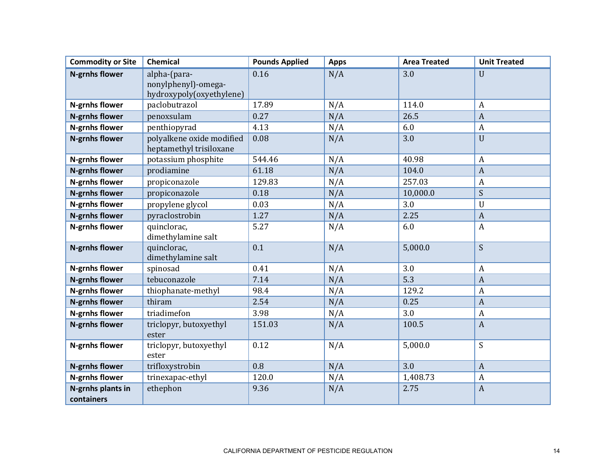| <b>Commodity or Site</b>        | Chemical                                                        | <b>Pounds Applied</b> | <b>Apps</b> | <b>Area Treated</b> | <b>Unit Treated</b>       |
|---------------------------------|-----------------------------------------------------------------|-----------------------|-------------|---------------------|---------------------------|
| <b>N-grnhs flower</b>           | alpha-(para-<br>nonylphenyl)-omega-<br>hydroxypoly(oxyethylene) | 0.16                  | N/A         | 3.0                 | $\mathbf U$               |
| N-grnhs flower                  | paclobutrazol                                                   | 17.89                 | N/A         | 114.0               | A                         |
| <b>N-grnhs flower</b>           | penoxsulam                                                      | 0.27                  | N/A         | 26.5                | $\boldsymbol{A}$          |
| N-grnhs flower                  | penthiopyrad                                                    | 4.13                  | N/A         | 6.0                 | $\boldsymbol{A}$          |
| <b>N-grnhs flower</b>           | polyalkene oxide modified<br>heptamethyl trisiloxane            | 0.08                  | N/A         | 3.0                 | $\mathbf U$               |
| N-grnhs flower                  | potassium phosphite                                             | 544.46                | N/A         | 40.98               | $\boldsymbol{A}$          |
| <b>N-grnhs flower</b>           | prodiamine                                                      | 61.18                 | N/A         | 104.0               | $\boldsymbol{A}$          |
| N-grnhs flower                  | propiconazole                                                   | 129.83                | N/A         | 257.03              | $\boldsymbol{A}$          |
| <b>N-grnhs flower</b>           | propiconazole                                                   | 0.18                  | N/A         | 10,000.0            | $\boldsymbol{S}$          |
| N-grnhs flower                  | propylene glycol                                                | 0.03                  | N/A         | 3.0                 | $\boldsymbol{\mathsf{U}}$ |
| <b>N-grnhs flower</b>           | pyraclostrobin                                                  | 1.27                  | N/A         | 2.25                | $\boldsymbol{A}$          |
| <b>N-grnhs flower</b>           | quinclorac,<br>dimethylamine salt                               | 5.27                  | N/A         | 6.0                 | A                         |
| <b>N-grnhs flower</b>           | quinclorac,<br>dimethylamine salt                               | 0.1                   | N/A         | 5,000.0             | S                         |
| <b>N-grnhs flower</b>           | spinosad                                                        | 0.41                  | N/A         | 3.0                 | $\boldsymbol{A}$          |
| <b>N-grnhs flower</b>           | tebuconazole                                                    | 7.14                  | N/A         | 5.3                 | $\boldsymbol{A}$          |
| N-grnhs flower                  | thiophanate-methyl                                              | 98.4                  | N/A         | 129.2               | A                         |
| <b>N-grnhs flower</b>           | thiram                                                          | 2.54                  | N/A         | 0.25                | $\overline{A}$            |
| N-grnhs flower                  | triadimefon                                                     | 3.98                  | N/A         | 3.0                 | A                         |
| <b>N-grnhs flower</b>           | triclopyr, butoxyethyl<br>ester                                 | 151.03                | N/A         | 100.5               | $\boldsymbol{A}$          |
| N-grnhs flower                  | triclopyr, butoxyethyl<br>ester                                 | 0.12                  | N/A         | 5,000.0             | S                         |
| <b>N-grnhs flower</b>           | trifloxystrobin                                                 | 0.8                   | N/A         | 3.0                 | $\overline{A}$            |
| N-grnhs flower                  | trinexapac-ethyl                                                | 120.0                 | N/A         | 1,408.73            | A                         |
| N-grnhs plants in<br>containers | ethephon                                                        | 9.36                  | N/A         | 2.75                | $\boldsymbol{A}$          |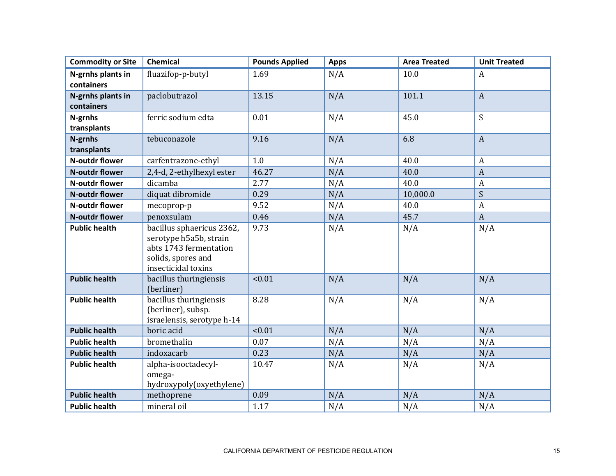| <b>Commodity or Site</b> | <b>Chemical</b>                                                                                                            | <b>Pounds Applied</b> | <b>Apps</b> | <b>Area Treated</b> | <b>Unit Treated</b> |
|--------------------------|----------------------------------------------------------------------------------------------------------------------------|-----------------------|-------------|---------------------|---------------------|
| N-grnhs plants in        | fluazifop-p-butyl                                                                                                          | 1.69                  | N/A         | 10.0                | A                   |
| containers               |                                                                                                                            |                       |             |                     |                     |
| N-grnhs plants in        | paclobutrazol                                                                                                              | 13.15                 | N/A         | 101.1               | $\mathbf{A}$        |
| containers               |                                                                                                                            |                       |             |                     |                     |
| N-grnhs                  | ferric sodium edta                                                                                                         | 0.01                  | N/A         | 45.0                | S                   |
| transplants              |                                                                                                                            |                       |             |                     |                     |
| N-grnhs                  | tebuconazole                                                                                                               | 9.16                  | N/A         | 6.8                 | $\mathbf{A}$        |
| transplants              |                                                                                                                            |                       |             |                     |                     |
| N-outdr flower           | carfentrazone-ethyl                                                                                                        | 1.0                   | N/A         | 40.0                | $\boldsymbol{A}$    |
| <b>N-outdr flower</b>    | 2,4-d, 2-ethylhexyl ester                                                                                                  | 46.27                 | N/A         | 40.0                | $\boldsymbol{A}$    |
| N-outdr flower           | dicamba                                                                                                                    | 2.77                  | N/A         | 40.0                | $\boldsymbol{A}$    |
| <b>N-outdr flower</b>    | diquat dibromide                                                                                                           | 0.29                  | N/A         | 10,000.0            | S                   |
| <b>N-outdr flower</b>    | mecoprop-p                                                                                                                 | 9.52                  | N/A         | 40.0                | $\boldsymbol{A}$    |
| <b>N-outdr flower</b>    | penoxsulam                                                                                                                 | 0.46                  | N/A         | 45.7                | $\mathbf{A}$        |
| <b>Public health</b>     | bacillus sphaericus 2362,<br>serotype h5a5b, strain<br>abts 1743 fermentation<br>solids, spores and<br>insecticidal toxins | 9.73                  | N/A         | N/A                 | N/A                 |
| <b>Public health</b>     | bacillus thuringiensis<br>(berliner)                                                                                       | < 0.01                | N/A         | N/A                 | N/A                 |
| <b>Public health</b>     | bacillus thuringiensis<br>(berliner), subsp.<br>israelensis, serotype h-14                                                 | 8.28                  | N/A         | N/A                 | N/A                 |
| <b>Public health</b>     | boric acid                                                                                                                 | < 0.01                | N/A         | N/A                 | N/A                 |
| <b>Public health</b>     | bromethalin                                                                                                                | 0.07                  | N/A         | N/A                 | N/A                 |
| <b>Public health</b>     | indoxacarb                                                                                                                 | 0.23                  | N/A         | N/A                 | N/A                 |
| <b>Public health</b>     | alpha-isooctadecyl-<br>omega-<br>hydroxypoly(oxyethylene)                                                                  | 10.47                 | N/A         | N/A                 | N/A                 |
| <b>Public health</b>     | methoprene                                                                                                                 | 0.09                  | N/A         | N/A                 | N/A                 |
| <b>Public health</b>     | mineral oil                                                                                                                | 1.17                  | N/A         | N/A                 | N/A                 |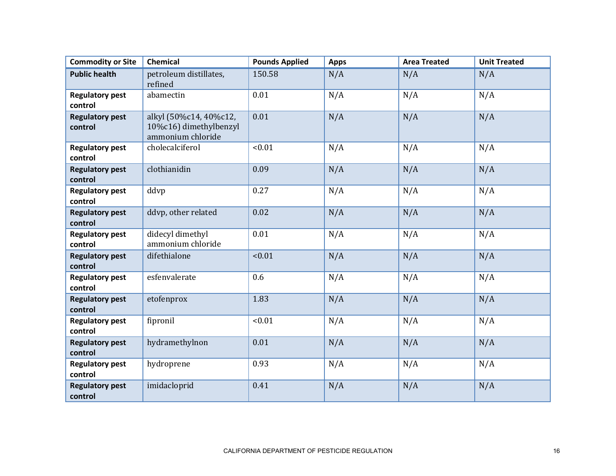| <b>Commodity or Site</b>          | Chemical                                                              | <b>Pounds Applied</b> | <b>Apps</b> | <b>Area Treated</b> | <b>Unit Treated</b> |
|-----------------------------------|-----------------------------------------------------------------------|-----------------------|-------------|---------------------|---------------------|
| <b>Public health</b>              | petroleum distillates,<br>refined                                     | 150.58                | N/A         | N/A                 | N/A                 |
| <b>Regulatory pest</b><br>control | abamectin                                                             | 0.01                  | N/A         | N/A                 | N/A                 |
| <b>Regulatory pest</b><br>control | alkyl (50%c14, 40%c12,<br>10%c16) dimethylbenzyl<br>ammonium chloride | 0.01                  | N/A         | N/A                 | N/A                 |
| <b>Regulatory pest</b><br>control | cholecalciferol                                                       | < 0.01                | N/A         | N/A                 | N/A                 |
| <b>Regulatory pest</b><br>control | clothianidin                                                          | 0.09                  | N/A         | N/A                 | N/A                 |
| <b>Regulatory pest</b><br>control | ddvp                                                                  | 0.27                  | N/A         | N/A                 | N/A                 |
| <b>Regulatory pest</b><br>control | ddvp, other related                                                   | 0.02                  | N/A         | N/A                 | N/A                 |
| <b>Regulatory pest</b><br>control | didecyl dimethyl<br>ammonium chloride                                 | 0.01                  | N/A         | N/A                 | N/A                 |
| <b>Regulatory pest</b><br>control | difethialone                                                          | < 0.01                | N/A         | N/A                 | N/A                 |
| <b>Regulatory pest</b><br>control | esfenvalerate                                                         | 0.6                   | N/A         | N/A                 | N/A                 |
| <b>Regulatory pest</b><br>control | etofenprox                                                            | 1.83                  | N/A         | N/A                 | N/A                 |
| <b>Regulatory pest</b><br>control | fipronil                                                              | < 0.01                | N/A         | N/A                 | N/A                 |
| <b>Regulatory pest</b><br>control | hydramethylnon                                                        | 0.01                  | N/A         | N/A                 | N/A                 |
| <b>Regulatory pest</b><br>control | hydroprene                                                            | 0.93                  | N/A         | N/A                 | N/A                 |
| <b>Regulatory pest</b><br>control | imidacloprid                                                          | 0.41                  | N/A         | N/A                 | N/A                 |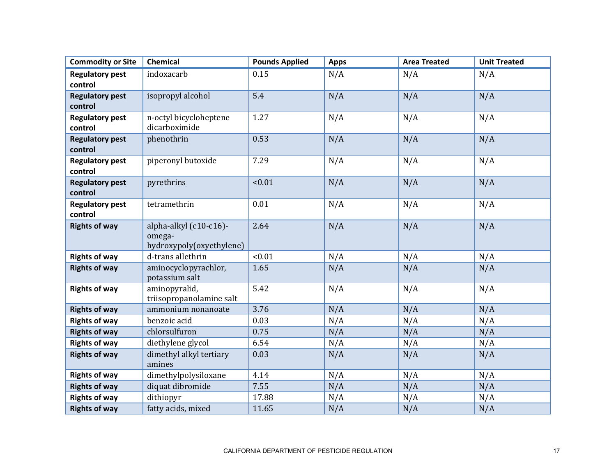| <b>Commodity or Site</b>          | Chemical                                                     | <b>Pounds Applied</b> | <b>Apps</b> | <b>Area Treated</b> | <b>Unit Treated</b> |
|-----------------------------------|--------------------------------------------------------------|-----------------------|-------------|---------------------|---------------------|
| <b>Regulatory pest</b>            | indoxacarb                                                   | 0.15                  | N/A         | N/A                 | N/A                 |
| control                           |                                                              |                       |             |                     |                     |
| <b>Regulatory pest</b><br>control | isopropyl alcohol                                            | 5.4                   | N/A         | N/A                 | N/A                 |
| <b>Regulatory pest</b><br>control | n-octyl bicycloheptene<br>dicarboximide                      | 1.27                  | N/A         | N/A                 | N/A                 |
| <b>Regulatory pest</b><br>control | phenothrin                                                   | 0.53                  | N/A         | N/A                 | N/A                 |
| <b>Regulatory pest</b><br>control | piperonyl butoxide                                           | 7.29                  | N/A         | N/A                 | N/A                 |
| <b>Regulatory pest</b><br>control | pyrethrins                                                   | < 0.01                | N/A         | N/A                 | N/A                 |
| <b>Regulatory pest</b><br>control | tetramethrin                                                 | 0.01                  | N/A         | N/A                 | N/A                 |
| <b>Rights of way</b>              | alpha-alkyl (c10-c16)-<br>omega-<br>hydroxypoly(oxyethylene) | 2.64                  | N/A         | N/A                 | N/A                 |
| <b>Rights of way</b>              | d-trans allethrin                                            | < 0.01                | N/A         | N/A                 | N/A                 |
| <b>Rights of way</b>              | aminocyclopyrachlor,<br>potassium salt                       | 1.65                  | N/A         | N/A                 | N/A                 |
| <b>Rights of way</b>              | aminopyralid,<br>triisopropanolamine salt                    | 5.42                  | N/A         | N/A                 | N/A                 |
| <b>Rights of way</b>              | ammonium nonanoate                                           | 3.76                  | N/A         | N/A                 | N/A                 |
| <b>Rights of way</b>              | benzoic acid                                                 | 0.03                  | N/A         | N/A                 | N/A                 |
| <b>Rights of way</b>              | chlorsulfuron                                                | 0.75                  | N/A         | N/A                 | N/A                 |
| <b>Rights of way</b>              | diethylene glycol                                            | 6.54                  | N/A         | N/A                 | N/A                 |
| <b>Rights of way</b>              | dimethyl alkyl tertiary<br>amines                            | 0.03                  | N/A         | N/A                 | N/A                 |
| <b>Rights of way</b>              | dimethylpolysiloxane                                         | 4.14                  | N/A         | N/A                 | N/A                 |
| <b>Rights of way</b>              | diquat dibromide                                             | 7.55                  | N/A         | N/A                 | N/A                 |
| <b>Rights of way</b>              | dithiopyr                                                    | 17.88                 | N/A         | N/A                 | N/A                 |
| <b>Rights of way</b>              | fatty acids, mixed                                           | 11.65                 | N/A         | N/A                 | N/A                 |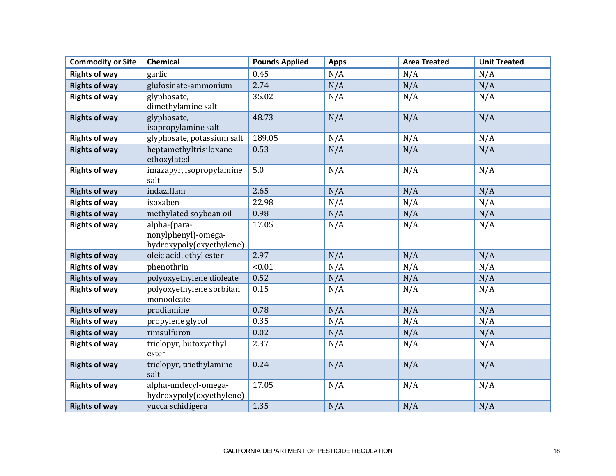| <b>Commodity or Site</b> | <b>Chemical</b>                                                 | <b>Pounds Applied</b> | <b>Apps</b> | <b>Area Treated</b> | <b>Unit Treated</b> |
|--------------------------|-----------------------------------------------------------------|-----------------------|-------------|---------------------|---------------------|
| <b>Rights of way</b>     | garlic                                                          | 0.45                  | N/A         | N/A                 | N/A                 |
| <b>Rights of way</b>     | glufosinate-ammonium                                            | 2.74                  | N/A         | N/A                 | N/A                 |
| <b>Rights of way</b>     | glyphosate,<br>dimethylamine salt                               | 35.02                 | N/A         | N/A                 | N/A                 |
| <b>Rights of way</b>     | glyphosate,<br>isopropylamine salt                              | 48.73                 | N/A         | N/A                 | N/A                 |
| <b>Rights of way</b>     | glyphosate, potassium salt                                      | 189.05                | N/A         | N/A                 | N/A                 |
| <b>Rights of way</b>     | heptamethyltrisiloxane<br>ethoxylated                           | 0.53                  | N/A         | N/A                 | N/A                 |
| <b>Rights of way</b>     | imazapyr, isopropylamine<br>salt                                | 5.0                   | N/A         | N/A                 | N/A                 |
| <b>Rights of way</b>     | indaziflam                                                      | 2.65                  | N/A         | N/A                 | N/A                 |
| <b>Rights of way</b>     | isoxaben                                                        | 22.98                 | N/A         | N/A                 | N/A                 |
| <b>Rights of way</b>     | methylated soybean oil                                          | 0.98                  | N/A         | N/A                 | N/A                 |
| <b>Rights of way</b>     | alpha-(para-<br>nonylphenyl)-omega-<br>hydroxypoly(oxyethylene) | 17.05                 | N/A         | N/A                 | N/A                 |
| <b>Rights of way</b>     | oleic acid, ethyl ester                                         | 2.97                  | N/A         | N/A                 | N/A                 |
| <b>Rights of way</b>     | phenothrin                                                      | < 0.01                | N/A         | N/A                 | N/A                 |
| <b>Rights of way</b>     | polyoxyethylene dioleate                                        | 0.52                  | N/A         | N/A                 | N/A                 |
| <b>Rights of way</b>     | polyoxyethylene sorbitan<br>monooleate                          | 0.15                  | N/A         | N/A                 | N/A                 |
| <b>Rights of way</b>     | prodiamine                                                      | 0.78                  | N/A         | N/A                 | N/A                 |
| <b>Rights of way</b>     | propylene glycol                                                | 0.35                  | N/A         | N/A                 | N/A                 |
| <b>Rights of way</b>     | rimsulfuron                                                     | 0.02                  | N/A         | N/A                 | N/A                 |
| <b>Rights of way</b>     | triclopyr, butoxyethyl<br>ester                                 | 2.37                  | N/A         | N/A                 | N/A                 |
| <b>Rights of way</b>     | triclopyr, triethylamine<br>salt                                | 0.24                  | N/A         | N/A                 | N/A                 |
| <b>Rights of way</b>     | alpha-undecyl-omega-<br>hydroxypoly(oxyethylene)                | 17.05                 | N/A         | N/A                 | N/A                 |
| <b>Rights of way</b>     | yucca schidigera                                                | 1.35                  | N/A         | N/A                 | N/A                 |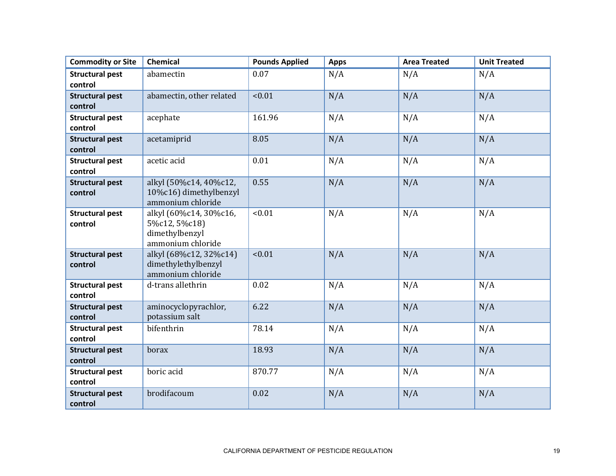| <b>Commodity or Site</b> | Chemical                 | <b>Pounds Applied</b> | <b>Apps</b> | <b>Area Treated</b> | <b>Unit Treated</b> |
|--------------------------|--------------------------|-----------------------|-------------|---------------------|---------------------|
| <b>Structural pest</b>   | abamectin                | 0.07                  | N/A         | N/A                 | N/A                 |
| control                  |                          |                       |             |                     |                     |
| <b>Structural pest</b>   | abamectin, other related | < 0.01                | N/A         | N/A                 | N/A                 |
| control                  |                          |                       |             |                     |                     |
| <b>Structural pest</b>   | acephate                 | 161.96                | N/A         | N/A                 | N/A                 |
| control                  |                          |                       |             |                     |                     |
| <b>Structural pest</b>   | acetamiprid              | 8.05                  | N/A         | N/A                 | N/A                 |
| control                  |                          |                       |             |                     |                     |
| <b>Structural pest</b>   | acetic acid              | 0.01                  | N/A         | N/A                 | N/A                 |
| control                  |                          |                       |             |                     |                     |
| <b>Structural pest</b>   | alkyl (50%c14, 40%c12,   | 0.55                  | N/A         | N/A                 | N/A                 |
| control                  | 10%c16) dimethylbenzyl   |                       |             |                     |                     |
|                          | ammonium chloride        |                       |             |                     |                     |
| <b>Structural pest</b>   | alkyl (60%c14, 30%c16,   | < 0.01                | N/A         | N/A                 | N/A                 |
| control                  | 5%c12, 5%c18)            |                       |             |                     |                     |
|                          | dimethylbenzyl           |                       |             |                     |                     |
|                          | ammonium chloride        |                       |             |                     |                     |
| <b>Structural pest</b>   | alkyl (68%c12, 32%c14)   | < 0.01                | N/A         | N/A                 | N/A                 |
| control                  | dimethylethylbenzyl      |                       |             |                     |                     |
|                          | ammonium chloride        |                       |             |                     |                     |
| <b>Structural pest</b>   | d-trans allethrin        | 0.02                  | N/A         | N/A                 | N/A                 |
| control                  |                          |                       |             |                     |                     |
| <b>Structural pest</b>   | aminocyclopyrachlor,     | 6.22                  | N/A         | N/A                 | N/A                 |
| control                  | potassium salt           |                       |             |                     |                     |
| <b>Structural pest</b>   | bifenthrin               | 78.14                 | N/A         | N/A                 | N/A                 |
| control                  |                          |                       |             |                     |                     |
| <b>Structural pest</b>   | borax                    | 18.93                 | N/A         | N/A                 | N/A                 |
| control                  |                          |                       |             |                     |                     |
| <b>Structural pest</b>   | boric acid               | 870.77                | N/A         | N/A                 | N/A                 |
| control                  |                          |                       |             |                     |                     |
| <b>Structural pest</b>   | brodifacoum              | 0.02                  | N/A         | N/A                 | N/A                 |
| control                  |                          |                       |             |                     |                     |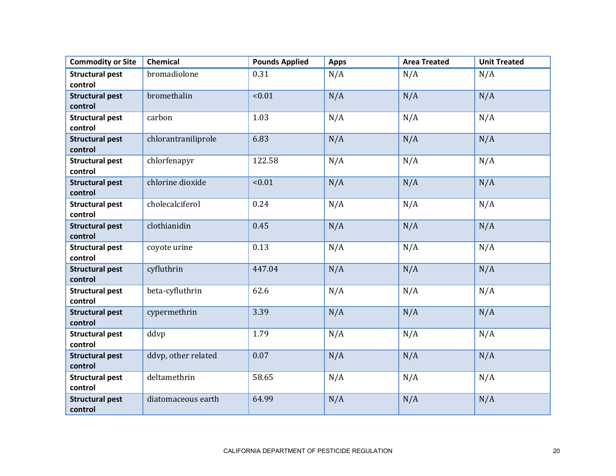| <b>Commodity or Site</b>          | <b>Chemical</b>     | <b>Pounds Applied</b> | <b>Apps</b> | <b>Area Treated</b> | <b>Unit Treated</b> |
|-----------------------------------|---------------------|-----------------------|-------------|---------------------|---------------------|
| <b>Structural pest</b>            | bromadiolone        | 0.31                  | N/A         | N/A                 | N/A                 |
| control                           | bromethalin         |                       |             |                     |                     |
| <b>Structural pest</b><br>control |                     | < 0.01                | N/A         | N/A                 | N/A                 |
| <b>Structural pest</b><br>control | carbon              | 1.03                  | N/A         | N/A                 | N/A                 |
| <b>Structural pest</b><br>control | chlorantraniliprole | 6.83                  | N/A         | N/A                 | N/A                 |
| <b>Structural pest</b><br>control | chlorfenapyr        | 122.58                | N/A         | N/A                 | N/A                 |
| <b>Structural pest</b><br>control | chlorine dioxide    | < 0.01                | N/A         | N/A                 | N/A                 |
| <b>Structural pest</b><br>control | cholecalciferol     | 0.24                  | N/A         | N/A                 | N/A                 |
| <b>Structural pest</b><br>control | clothianidin        | 0.45                  | N/A         | N/A                 | N/A                 |
| <b>Structural pest</b><br>control | coyote urine        | 0.13                  | N/A         | N/A                 | N/A                 |
| <b>Structural pest</b><br>control | cyfluthrin          | 447.04                | N/A         | N/A                 | N/A                 |
| <b>Structural pest</b><br>control | beta-cyfluthrin     | 62.6                  | N/A         | N/A                 | N/A                 |
| <b>Structural pest</b><br>control | cypermethrin        | 3.39                  | N/A         | N/A                 | N/A                 |
| <b>Structural pest</b><br>control | ddvp                | 1.79                  | N/A         | N/A                 | N/A                 |
| <b>Structural pest</b><br>control | ddvp, other related | 0.07                  | N/A         | N/A                 | N/A                 |
| <b>Structural pest</b><br>control | deltamethrin        | 58.65                 | N/A         | N/A                 | N/A                 |
| <b>Structural pest</b><br>control | diatomaceous earth  | 64.99                 | N/A         | N/A                 | N/A                 |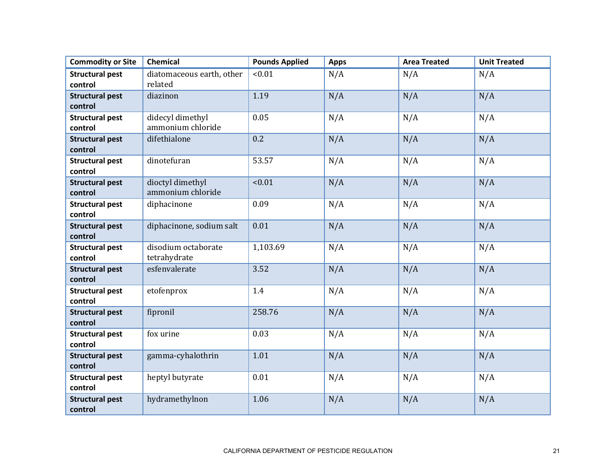| <b>Commodity or Site</b> | Chemical                  | <b>Pounds Applied</b> | <b>Apps</b> | <b>Area Treated</b> | <b>Unit Treated</b> |
|--------------------------|---------------------------|-----------------------|-------------|---------------------|---------------------|
| <b>Structural pest</b>   | diatomaceous earth, other | < 0.01                | N/A         | N/A                 | N/A                 |
| control                  | related                   |                       |             |                     |                     |
| <b>Structural pest</b>   | diazinon                  | 1.19                  | N/A         | N/A                 | N/A                 |
| control                  |                           |                       |             |                     |                     |
| <b>Structural pest</b>   | didecyl dimethyl          | 0.05                  | N/A         | N/A                 | N/A                 |
| control                  | ammonium chloride         |                       |             |                     |                     |
| <b>Structural pest</b>   | difethialone              | 0.2                   | N/A         | N/A                 | N/A                 |
| control                  |                           |                       |             |                     |                     |
| <b>Structural pest</b>   | dinotefuran               | 53.57                 | N/A         | N/A                 | N/A                 |
| control                  |                           |                       |             |                     |                     |
| <b>Structural pest</b>   | dioctyl dimethyl          | < 0.01                | N/A         | N/A                 | N/A                 |
| control                  | ammonium chloride         |                       |             |                     |                     |
| <b>Structural pest</b>   | diphacinone               | 0.09                  | N/A         | N/A                 | N/A                 |
| control                  |                           |                       |             |                     |                     |
| <b>Structural pest</b>   | diphacinone, sodium salt  | 0.01                  | N/A         | N/A                 | N/A                 |
| control                  |                           |                       |             |                     |                     |
| <b>Structural pest</b>   | disodium octaborate       | 1,103.69              | N/A         | N/A                 | N/A                 |
| control                  | tetrahydrate              |                       |             |                     |                     |
| <b>Structural pest</b>   | esfenvalerate             | 3.52                  | N/A         | N/A                 | N/A                 |
| control                  |                           |                       |             |                     |                     |
| <b>Structural pest</b>   | etofenprox                | 1.4                   | N/A         | N/A                 | N/A                 |
| control                  |                           |                       |             |                     |                     |
| <b>Structural pest</b>   | fipronil                  | 258.76                | N/A         | N/A                 | N/A                 |
| control                  |                           |                       |             |                     |                     |
| <b>Structural pest</b>   | fox urine                 | 0.03                  | N/A         | N/A                 | N/A                 |
| control                  |                           |                       |             |                     |                     |
| <b>Structural pest</b>   | gamma-cyhalothrin         | 1.01                  | N/A         | N/A                 | N/A                 |
| control                  |                           |                       |             |                     |                     |
| <b>Structural pest</b>   | heptyl butyrate           | 0.01                  | N/A         | N/A                 | N/A                 |
| control                  |                           |                       |             |                     |                     |
| <b>Structural pest</b>   | hydramethylnon            | 1.06                  | N/A         | N/A                 | N/A                 |
| control                  |                           |                       |             |                     |                     |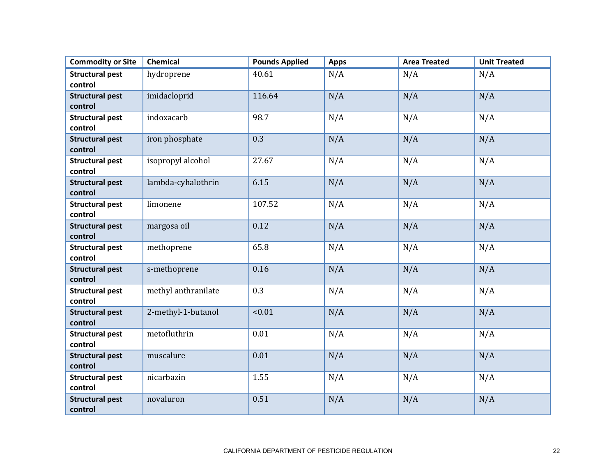| <b>Commodity or Site</b>          | Chemical            | <b>Pounds Applied</b> | <b>Apps</b> | <b>Area Treated</b> | <b>Unit Treated</b> |
|-----------------------------------|---------------------|-----------------------|-------------|---------------------|---------------------|
| <b>Structural pest</b>            | hydroprene          | 40.61                 | N/A         | N/A                 | N/A                 |
| control                           |                     |                       |             |                     |                     |
| <b>Structural pest</b><br>control | imidacloprid        | 116.64                | N/A         | N/A                 | N/A                 |
| <b>Structural pest</b>            | indoxacarb          | 98.7                  | N/A         | N/A                 | N/A                 |
| control                           |                     |                       |             |                     |                     |
| <b>Structural pest</b><br>control | iron phosphate      | 0.3                   | N/A         | N/A                 | N/A                 |
| <b>Structural pest</b><br>control | isopropyl alcohol   | 27.67                 | N/A         | N/A                 | N/A                 |
| <b>Structural pest</b><br>control | lambda-cyhalothrin  | 6.15                  | N/A         | N/A                 | N/A                 |
| <b>Structural pest</b><br>control | limonene            | 107.52                | N/A         | N/A                 | N/A                 |
| <b>Structural pest</b><br>control | margosa oil         | 0.12                  | N/A         | N/A                 | N/A                 |
| <b>Structural pest</b><br>control | methoprene          | 65.8                  | N/A         | N/A                 | N/A                 |
| <b>Structural pest</b><br>control | s-methoprene        | 0.16                  | N/A         | N/A                 | N/A                 |
| <b>Structural pest</b><br>control | methyl anthranilate | 0.3                   | N/A         | N/A                 | N/A                 |
| <b>Structural pest</b><br>control | 2-methyl-1-butanol  | < 0.01                | N/A         | N/A                 | N/A                 |
| <b>Structural pest</b><br>control | metofluthrin        | 0.01                  | N/A         | N/A                 | N/A                 |
| <b>Structural pest</b><br>control | muscalure           | 0.01                  | N/A         | N/A                 | N/A                 |
| <b>Structural pest</b><br>control | nicarbazin          | 1.55                  | N/A         | N/A                 | N/A                 |
| <b>Structural pest</b><br>control | novaluron           | 0.51                  | N/A         | N/A                 | N/A                 |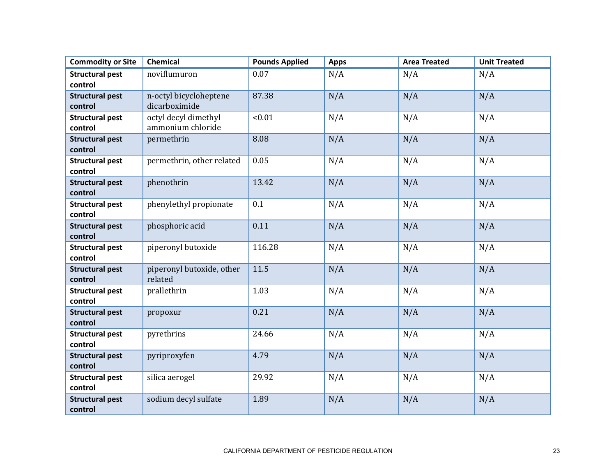| <b>Commodity or Site</b>          | Chemical                                  | <b>Pounds Applied</b> | <b>Apps</b> | <b>Area Treated</b> | <b>Unit Treated</b> |
|-----------------------------------|-------------------------------------------|-----------------------|-------------|---------------------|---------------------|
| <b>Structural pest</b>            | noviflumuron                              | 0.07                  | N/A         | N/A                 | N/A                 |
| control                           |                                           |                       |             |                     |                     |
| <b>Structural pest</b><br>control | n-octyl bicycloheptene<br>dicarboximide   | 87.38                 | N/A         | N/A                 | N/A                 |
| <b>Structural pest</b><br>control | octyl decyl dimethyl<br>ammonium chloride | < 0.01                | N/A         | N/A                 | N/A                 |
| <b>Structural pest</b><br>control | permethrin                                | 8.08                  | N/A         | N/A                 | N/A                 |
| <b>Structural pest</b><br>control | permethrin, other related                 | 0.05                  | N/A         | N/A                 | N/A                 |
| <b>Structural pest</b><br>control | phenothrin                                | 13.42                 | N/A         | N/A                 | N/A                 |
| <b>Structural pest</b><br>control | phenylethyl propionate                    | 0.1                   | N/A         | N/A                 | N/A                 |
| <b>Structural pest</b><br>control | phosphoric acid                           | 0.11                  | N/A         | N/A                 | N/A                 |
| <b>Structural pest</b><br>control | piperonyl butoxide                        | 116.28                | N/A         | N/A                 | N/A                 |
| <b>Structural pest</b><br>control | piperonyl butoxide, other<br>related      | 11.5                  | N/A         | N/A                 | N/A                 |
| <b>Structural pest</b><br>control | prallethrin                               | 1.03                  | N/A         | N/A                 | N/A                 |
| <b>Structural pest</b><br>control | propoxur                                  | 0.21                  | N/A         | N/A                 | N/A                 |
| <b>Structural pest</b><br>control | pyrethrins                                | 24.66                 | N/A         | N/A                 | N/A                 |
| <b>Structural pest</b><br>control | pyriproxyfen                              | 4.79                  | N/A         | N/A                 | N/A                 |
| <b>Structural pest</b><br>control | silica aerogel                            | 29.92                 | N/A         | N/A                 | N/A                 |
| <b>Structural pest</b><br>control | sodium decyl sulfate                      | 1.89                  | N/A         | N/A                 | N/A                 |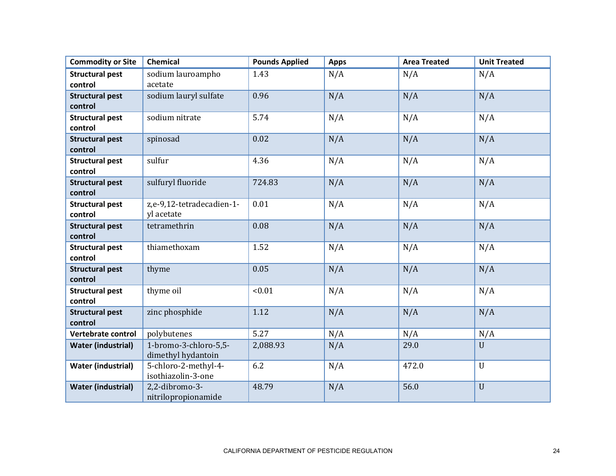| <b>Commodity or Site</b>  | <b>Chemical</b>           | <b>Pounds Applied</b> | <b>Apps</b> | <b>Area Treated</b> | <b>Unit Treated</b> |
|---------------------------|---------------------------|-----------------------|-------------|---------------------|---------------------|
| <b>Structural pest</b>    | sodium lauroampho         | 1.43                  | N/A         | N/A                 | N/A                 |
| control                   | acetate                   |                       |             |                     |                     |
| <b>Structural pest</b>    | sodium lauryl sulfate     | 0.96                  | N/A         | N/A                 | N/A                 |
| control                   |                           |                       |             |                     |                     |
| <b>Structural pest</b>    | sodium nitrate            | 5.74                  | N/A         | N/A                 | N/A                 |
| control                   |                           |                       |             |                     |                     |
| <b>Structural pest</b>    | spinosad                  | 0.02                  | N/A         | N/A                 | N/A                 |
| control                   |                           |                       |             |                     |                     |
| <b>Structural pest</b>    | sulfur                    | 4.36                  | N/A         | N/A                 | N/A                 |
| control                   |                           |                       |             |                     |                     |
| <b>Structural pest</b>    | sulfuryl fluoride         | 724.83                | N/A         | N/A                 | N/A                 |
| control                   |                           |                       |             |                     |                     |
| <b>Structural pest</b>    | z,e-9,12-tetradecadien-1- | 0.01                  | N/A         | N/A                 | N/A                 |
| control                   | yl acetate                |                       |             |                     |                     |
| <b>Structural pest</b>    | tetramethrin              | 0.08                  | N/A         | N/A                 | N/A                 |
| control                   |                           |                       |             |                     |                     |
| <b>Structural pest</b>    | thiamethoxam              | 1.52                  | N/A         | N/A                 | N/A                 |
| control                   |                           |                       |             |                     |                     |
| <b>Structural pest</b>    | thyme                     | 0.05                  | N/A         | N/A                 | N/A                 |
| control                   |                           |                       |             |                     |                     |
| <b>Structural pest</b>    | thyme oil                 | < 0.01                | N/A         | N/A                 | N/A                 |
| control                   |                           |                       |             |                     |                     |
| <b>Structural pest</b>    | zinc phosphide            | 1.12                  | N/A         | N/A                 | N/A                 |
| control                   |                           |                       |             |                     |                     |
| Vertebrate control        | polybutenes               | 5.27                  | N/A         | N/A                 | N/A                 |
| <b>Water (industrial)</b> | 1-bromo-3-chloro-5,5-     | 2,088.93              | N/A         | 29.0                | $\mathbf U$         |
|                           | dimethyl hydantoin        |                       |             |                     |                     |
| <b>Water (industrial)</b> | 5-chloro-2-methyl-4-      | 6.2                   | N/A         | 472.0               | $\mathbf U$         |
|                           | isothiazolin-3-one        |                       |             |                     |                     |
| <b>Water (industrial)</b> | 2,2-dibromo-3-            | 48.79                 | N/A         | 56.0                | $\mathbf U$         |
|                           | nitrilopropionamide       |                       |             |                     |                     |